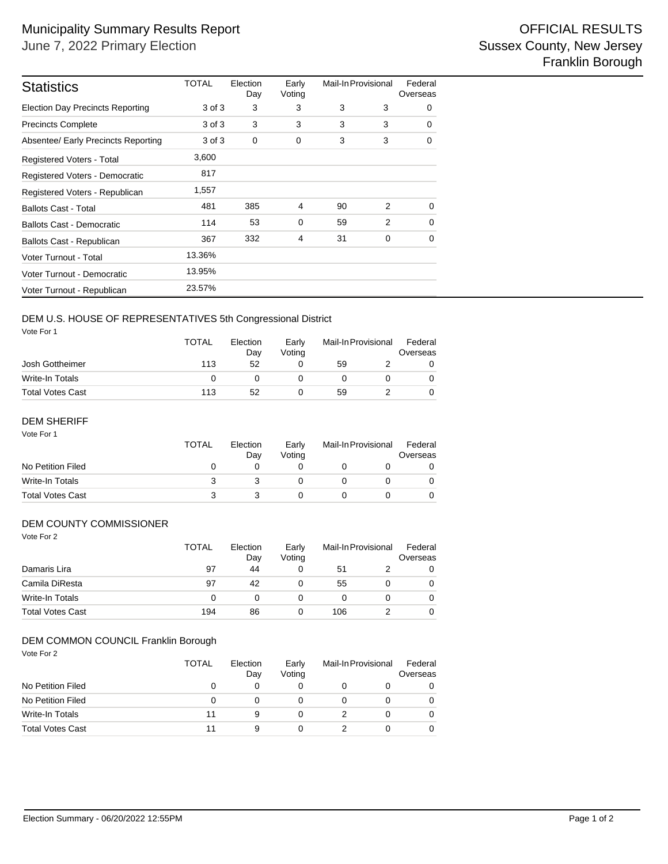| <b>Statistics</b>                       | <b>TOTAL</b> | Election<br>Day | Early<br>Voting | Mail-In Provisional |   | Federal<br>Overseas |  |
|-----------------------------------------|--------------|-----------------|-----------------|---------------------|---|---------------------|--|
| <b>Election Day Precincts Reporting</b> | 3 of 3       | 3               | 3               | 3                   | 3 | 0                   |  |
| <b>Precincts Complete</b>               | 3 of 3       | 3               | 3               | 3                   | 3 | $\Omega$            |  |
| Absentee/ Early Precincts Reporting     | 3 of 3       | $\mathbf 0$     | 0               | 3                   | 3 | 0                   |  |
| Registered Voters - Total               | 3,600        |                 |                 |                     |   |                     |  |
| Registered Voters - Democratic          | 817          |                 |                 |                     |   |                     |  |
| Registered Voters - Republican          | 1,557        |                 |                 |                     |   |                     |  |
| <b>Ballots Cast - Total</b>             | 481          | 385             | 4               | 90                  | 2 | $\Omega$            |  |
| <b>Ballots Cast - Democratic</b>        | 114          | 53              | $\mathbf 0$     | 59                  | 2 | $\Omega$            |  |
| Ballots Cast - Republican               | 367          | 332             | $\overline{4}$  | 31                  | 0 | 0                   |  |
| Voter Turnout - Total                   | 13.36%       |                 |                 |                     |   |                     |  |
| Voter Turnout - Democratic              | 13.95%       |                 |                 |                     |   |                     |  |
| Voter Turnout - Republican              | 23.57%       |                 |                 |                     |   |                     |  |

# DEM U.S. HOUSE OF REPRESENTATIVES 5th Congressional District

Vote For 1

|                         | <b>TOTAL</b> | Election<br>Dav | Early<br>Votina | Mail-In Provisional |  | Federal<br>Overseas |  |
|-------------------------|--------------|-----------------|-----------------|---------------------|--|---------------------|--|
| Josh Gottheimer         | 113          | 52              |                 | 59                  |  |                     |  |
| Write-In Totals         |              |                 |                 |                     |  |                     |  |
| <b>Total Votes Cast</b> | 113          | 52              |                 | 59                  |  |                     |  |

#### Vote For 1 DEM SHERIFF

| .                       | TOTAL | Election<br>Day | Early<br>Votina | Mail-In Provisional |  | Federal<br>Overseas |
|-------------------------|-------|-----------------|-----------------|---------------------|--|---------------------|
| No Petition Filed       |       |                 |                 |                     |  |                     |
| Write-In Totals         |       |                 |                 |                     |  |                     |
| <b>Total Votes Cast</b> |       |                 |                 |                     |  |                     |

### DEM COUNTY COMMISSIONER

| Vote For 2              | <b>TOTAL</b> | Election<br>Day | Early<br>Voting | Mail-In Provisional |  | Federal<br>Overseas |
|-------------------------|--------------|-----------------|-----------------|---------------------|--|---------------------|
| Damaris Lira            | 97           | 44              | 0               | 51                  |  | 0                   |
| Camila DiResta          | 97           | 42              | 0               | 55                  |  | 0                   |
| <b>Write-In Totals</b>  | 0            | 0               | 0               | 0                   |  | 0                   |
| <b>Total Votes Cast</b> | 194          | 86              | 0               | 106                 |  | 0                   |

### DEM COMMON COUNCIL Franklin Borough

Vote For 2

|                         | <b>TOTAL</b> | Election<br>Day | Early<br>Votina | Mail-In Provisional | Federal<br>Overseas |
|-------------------------|--------------|-----------------|-----------------|---------------------|---------------------|
| No Petition Filed       |              | $\mathbf{0}$    |                 |                     | 0                   |
| No Petition Filed       |              |                 |                 |                     | 0                   |
| Write-In Totals         | 11           | 9               |                 |                     | 0                   |
| <b>Total Votes Cast</b> | 11           | 9               |                 |                     | 0                   |